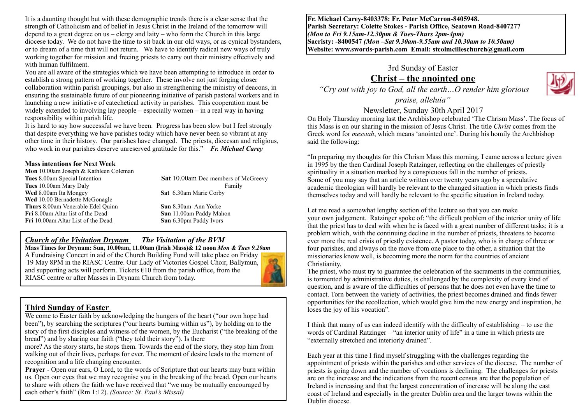It is a daunting thought but with these demographic trends there is a clear sense that the strength of Catholicism and of belief in Jesus Christ in the Ireland of the tomorrow will depend to a great degree on us – clergy and laity – who form the Church in this large diocese today. We do not have the time to sit back in our old ways, or as cynical bystanders, or to dream of a time that will not return. We have to identify radical new ways of truly working together for mission and freeing priests to carry out their ministry effectively and with human fulfilment.

You are all aware of the strategies which we have been attempting to introduce in order to establish a strong pattern of working together. These involve not just forging closer collaboration within parish groupings, but also in strengthening the ministry of deacons, in ensuring the sustainable future of our pioneering initiative of parish pastoral workers and in launching a new initiative of catechetical activity in parishes. This cooperation must be widely extended to involving lay people – especially women – in a real way in having responsibility within parish life.

It is hard to say how successful we have been. Progress has been slow but I feel strongly that despite everything we have parishes today which have never been so vibrant at any other time in their history. Our parishes have changed. The priests, diocesan and religious, who work in our parishes deserve unreserved gratitude for this." *Fr. Michael Carey*

#### **Mass intentions for Next Week**

| <b>Sat 10.00am Dec members of McGreevy</b> |
|--------------------------------------------|
| Family                                     |
| Sat 6.30am Marie Corby                     |
|                                            |
| Sun 8.30am Ann Yorke                       |
| Sun 11.00am Paddy Mahon                    |
| Sun 6.30pm Paddy Ivors                     |
|                                            |

#### *Church of the Visitation Drynam**The Visitation of the BVM*

**Mass Times for Drynam: Sun, 10.00am, 11.00am (Irish Mass)& 12 noon** *Mon & Tues 9.20am* A Fundraising Concert in aid of the Church Building Fund will take place on Friday 19 May 8PM in the RIASC Centre. Our Lady of Victories Gospel Choir, Ballymun, and supporting acts will perform. Tickets  $\epsilon$ 10 from the parish office, from the RIASC centre or after Masses in Drynam Church from today.

## **Third Sunday of Easter**

We come to Easter faith by acknowledging the hungers of the heart ("our own hope had been"), by searching the scriptures ("our hearts burning within us"), by holding on to the story of the first disciples and witness of the women, by the Eucharist ("the breaking of the bread") and by sharing our faith ("they told their story"). Is there

more? As the story starts, he stops them. Towards the end of the story, they stop him from walking out of their lives, perhaps for ever. The moment of desire leads to the moment of recognition and a life changing encounter.

**Prayer** - Open our ears, O Lord, to the words of Scripture that our hearts may burn within us. Open our eyes that we may recognise you in the breaking of the bread. Open our hearts to share with others the faith we have received that "we may be mutually encouraged by each other's faith" (Rm 1:12). *(Source: St. Paul's Missal)*

**Fr. Michael Carey-8403378: Fr. Peter McCarron-8405948. Parish Secretary: Colette Stokes - Parish Office, Seatown Road-8407277**  *(Mon to Fri 9.15am-12.30pm & Tues-Thurs 2pm-4pm)*  **Sacristy: -8400547** *(Mon –Sat 9.30am-9.55am and 10.30am to 10.50am)* **Website: [www.swords-parish.com Email:](http://www.swords-parish.com%20%20email) stcolmcilleschurch@gmail.com**

## 3rd Sunday of Easter **Christ – the anointed one**

 *"Cry out with joy to God, all the earth…O render him glorious* 

*praise, alleluia"* 

## Newsletter, Sunday 30th April 2017

On Holy Thursday morning last the Archbishop celebrated 'The Chrism Mass'. The focus of this Mass is on our sharing in the mission of Jesus Christ. The title *Christ* comes from the Greek word for *messiah*, which means 'anointed one'. During his homily the Archbishop said the following:

"In preparing my thoughts for this Chrism Mass this morning, I came across a lecture given in 1995 by the then Cardinal Joseph Ratzinger, reflecting on the challenges of priestly spirituality in a situation marked by a conspicuous fall in the number of priests. Some of you may say that an article written over twenty years ago by a speculative academic theologian will hardly be relevant to the changed situation in which priests finds themselves today and will hardly be relevant to the specific situation in Ireland today.

Let me read a somewhat lengthy section of the lecture so that you can make your own judgement. Ratzinger spoke of: "the difficult problem of the interior unity of life that the priest has to deal with when he is faced with a great number of different tasks; it is a problem which, with the continuing decline in the number of priests, threatens to become ever more the real crisis of priestly existence. A pastor today, who is in charge of three or four parishes, and always on the move from one place to the other, a situation that the missionaries know well, is becoming more the norm for the countries of ancient Christianity.

The priest, who must try to guarantee the celebration of the sacraments in the communities, is tormented by administrative duties, is challenged by the complexity of every kind of question, and is aware of the difficulties of persons that he does not even have the time to contact. Torn between the variety of activities, the priest becomes drained and finds fewer opportunities for the recollection, which would give him the new energy and inspiration, he loses the joy of his vocation".

I think that many of us can indeed identify with the difficulty of establishing – to use the words of Cardinal Ratzinger – "an interior unity of life" in a time in which priests are "externally stretched and interiorly drained".

Each year at this time I find myself struggling with the challenges regarding the appointment of priests within the parishes and other services of the diocese. The number of priests is going down and the number of vocations is declining. The challenges for priests are on the increase and the indications from the recent census are that the population of Ireland is increasing and that the largest concentration of increase will be along the east coast of Ireland and especially in the greater Dublin area and the larger towns within the Dublin diocese.